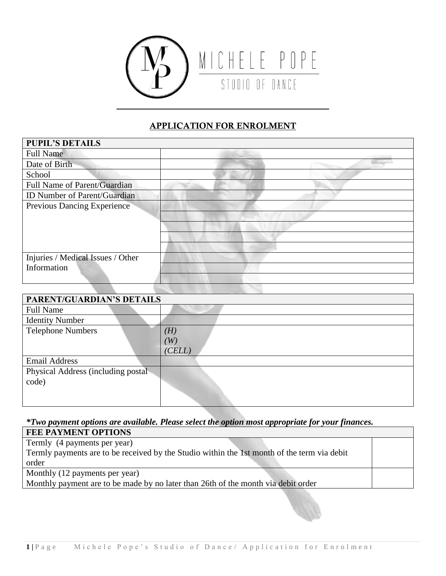

## APPLICATION FOR ENROLMENT

| <b>PUPIL'S DETAILS</b>              |  |
|-------------------------------------|--|
| <b>Full Name</b>                    |  |
| Date of Birth                       |  |
| School                              |  |
| Full Name of Parent/Guardian        |  |
| <b>ID Number of Parent/Guardian</b> |  |
| Previous Dancing Experience         |  |
|                                     |  |
|                                     |  |
|                                     |  |
|                                     |  |
| Injuries / Medical Issues / Other   |  |
| Information                         |  |
|                                     |  |

| PARENT/GUARDIAN'S DETAILS          |                   |
|------------------------------------|-------------------|
| <b>Full Name</b>                   |                   |
| <b>Identity Number</b>             |                   |
| <b>Telephone Numbers</b>           | $\left( H\right)$ |
|                                    | $^{\prime}W)$     |
|                                    | (CELL)            |
| <b>Email Address</b>               |                   |
| Physical Address (including postal |                   |
| code)                              |                   |
|                                    |                   |
|                                    |                   |

*\*Two payment options are available. Please select the option most appropriate for your finances.* 

| <b>FEE PAYMENT OPTIONS</b>                                                                  |  |
|---------------------------------------------------------------------------------------------|--|
| Termly (4 payments per year)                                                                |  |
| Termly payments are to be received by the Studio within the 1st month of the term via debit |  |
| order                                                                                       |  |
| Monthly (12 payments per year)                                                              |  |
| Monthly payment are to be made by no later than 26th of the month via debit order           |  |